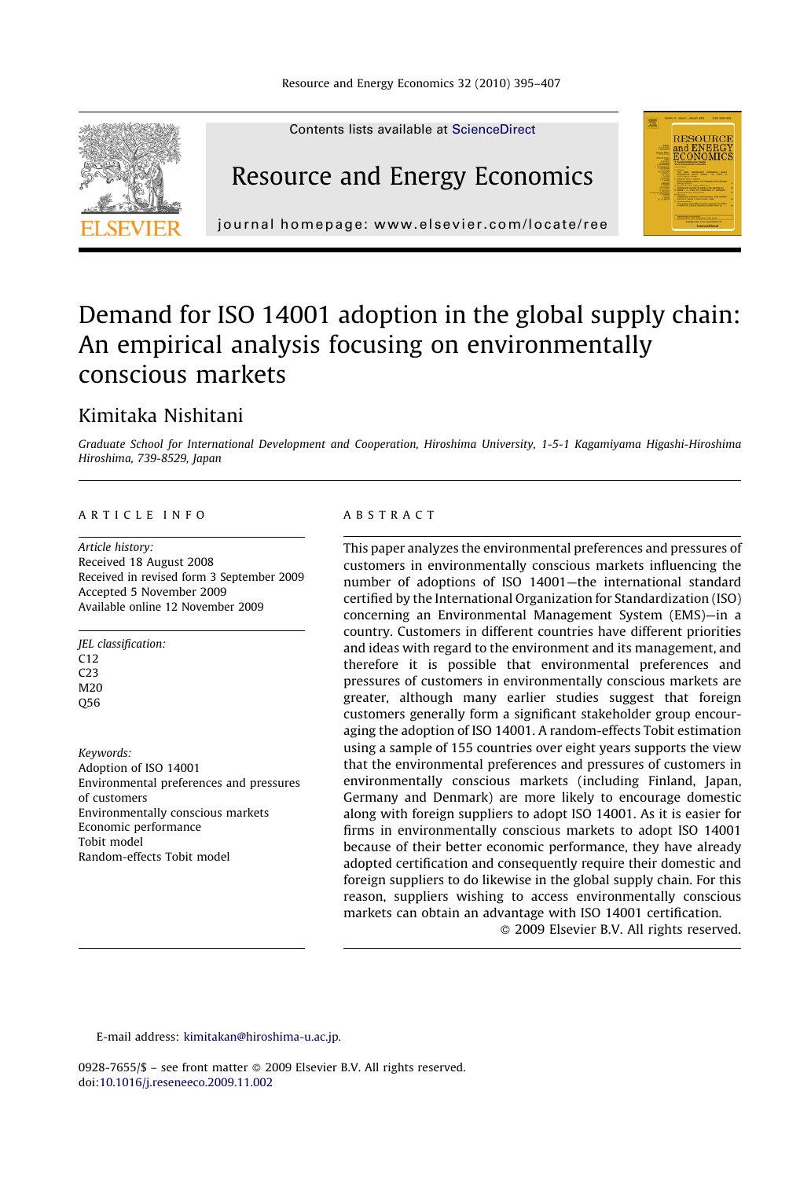

## Demand for ISO 14001 adoption in the global supply chain: An empirical analysis focusing on environmentally conscious markets

### Kimitaka Nishitani

Graduate School for International Development and Cooperation, Hiroshima University, 1-5-1 Kagamiyama Higashi-Hiroshima Hiroshima, 739-8529, Japan

#### ARTICLE INFO

Article history: Received 18 August 2008 Received in revised form 3 September 2009 Accepted 5 November 2009 Available online 12 November 2009

JEL classification:  $C12$ C23 M<sub>20</sub> Q56

Keywords: Adoption of ISO 14001 Environmental preferences and pressures of customers Environmentally conscious markets Economic performance Tobit model Random-effects Tobit model

#### ABSTRACT

This paper analyzes the environmental preferences and pressures of customers in environmentally conscious markets influencing the number of adoptions of ISO 14001—the international standard certified by the International Organization for Standardization (ISO) concerning an Environmental Management System (EMS)—in a country. Customers in different countries have different priorities and ideas with regard to the environment and its management, and therefore it is possible that environmental preferences and pressures of customers in environmentally conscious markets are greater, although many earlier studies suggest that foreign customers generally form a significant stakeholder group encouraging the adoption of ISO 14001. A random-effects Tobit estimation using a sample of 155 countries over eight years supports the view that the environmental preferences and pressures of customers in environmentally conscious markets (including Finland, Japan, Germany and Denmark) are more likely to encourage domestic along with foreign suppliers to adopt ISO 14001. As it is easier for firms in environmentally conscious markets to adopt ISO 14001 because of their better economic performance, they have already adopted certification and consequently require their domestic and foreign suppliers to do likewise in the global supply chain. For this reason, suppliers wishing to access environmentally conscious markets can obtain an advantage with ISO 14001 certification.

- 2009 Elsevier B.V. All rights reserved.

E-mail address: [kimitakan@hiroshima-u.ac.jp.](mailto:kimitakan@hiroshima-u.ac.jp)

0928-7655/\$ – see front matter © 2009 Elsevier B.V. All rights reserved. doi[:10.1016/j.reseneeco.2009.11.002](http://dx.doi.org/10.1016/j.reseneeco.2009.11.002)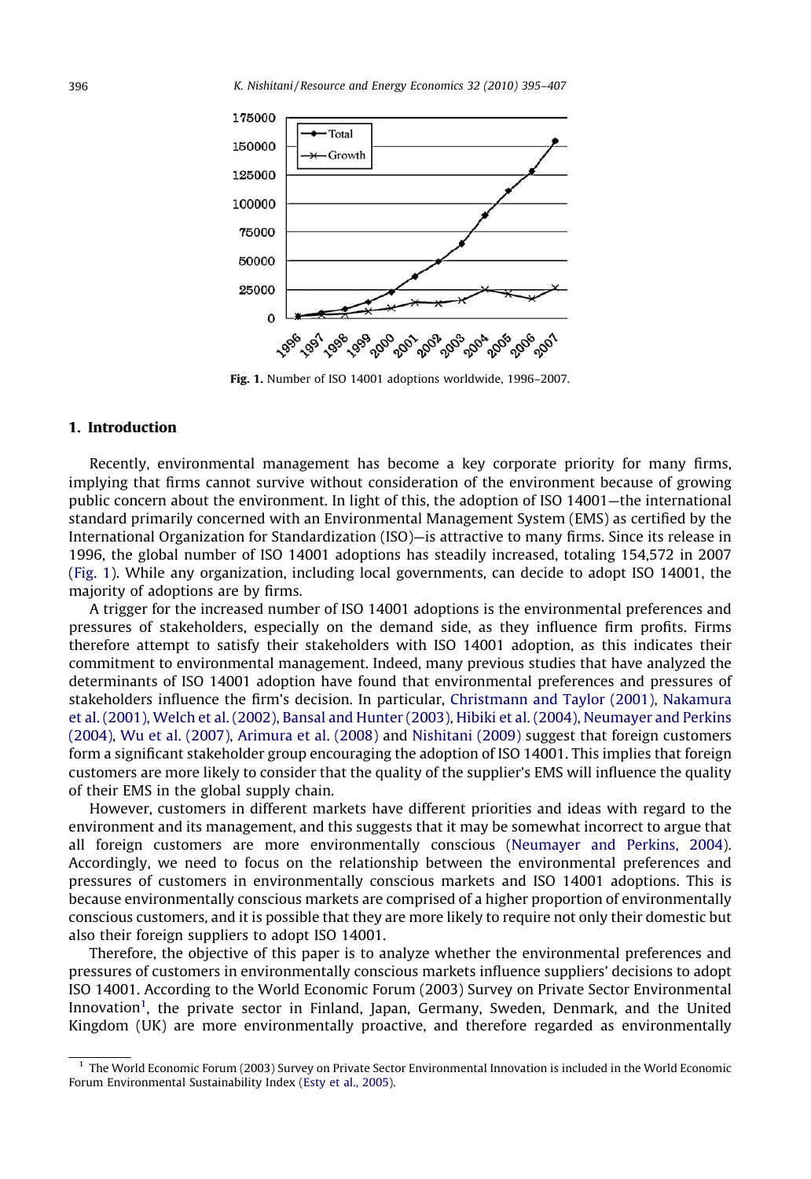

Fig. 1. Number of ISO 14001 adoptions worldwide, 1996–2007.

#### 1. Introduction

Recently, environmental management has become a key corporate priority for many firms, implying that firms cannot survive without consideration of the environment because of growing public concern about the environment. In light of this, the adoption of ISO 14001—the international standard primarily concerned with an Environmental Management System (EMS) as certified by the International Organization for Standardization (ISO)—is attractive to many firms. Since its release in 1996, the global number of ISO 14001 adoptions has steadily increased, totaling 154,572 in 2007 (Fig. 1). While any organization, including local governments, can decide to adopt ISO 14001, the majority of adoptions are by firms.

A trigger for the increased number of ISO 14001 adoptions is the environmental preferences and pressures of stakeholders, especially on the demand side, as they influence firm profits. Firms therefore attempt to satisfy their stakeholders with ISO 14001 adoption, as this indicates their commitment to environmental management. Indeed, many previous studies that have analyzed the determinants of ISO 14001 adoption have found that environmental preferences and pressures of stakeholders influence the firm's decision. In particular, [Christmann and Taylor \(2001\),](#page--1-0) [Nakamura](#page--1-0) [et al. \(2001\),](#page--1-0) [Welch et al. \(2002\)](#page--1-0), [Bansal and Hunter \(2003\),](#page--1-0) [Hibiki et al. \(2004\)](#page--1-0), [Neumayer and Perkins](#page--1-0) [\(2004\),](#page--1-0) [Wu et al. \(2007\),](#page--1-0) [Arimura et al. \(2008\)](#page--1-0) and [Nishitani \(2009\)](#page--1-0) suggest that foreign customers form a significant stakeholder group encouraging the adoption of ISO 14001. This implies that foreign customers are more likely to consider that the quality of the supplier's EMS will influence the quality of their EMS in the global supply chain.

However, customers in different markets have different priorities and ideas with regard to the environment and its management, and this suggests that it may be somewhat incorrect to argue that all foreign customers are more environmentally conscious [\(Neumayer and Perkins, 2004](#page--1-0)). Accordingly, we need to focus on the relationship between the environmental preferences and pressures of customers in environmentally conscious markets and ISO 14001 adoptions. This is because environmentally conscious markets are comprised of a higher proportion of environmentally conscious customers, and it is possible that they are more likely to require not only their domestic but also their foreign suppliers to adopt ISO 14001.

Therefore, the objective of this paper is to analyze whether the environmental preferences and pressures of customers in environmentally conscious markets influence suppliers' decisions to adopt ISO 14001. According to the World Economic Forum (2003) Survey on Private Sector Environmental Innovation<sup>1</sup>, the private sector in Finland, Japan, Germany, Sweden, Denmark, and the United Kingdom (UK) are more environmentally proactive, and therefore regarded as environmentally

<sup>&</sup>lt;sup>1</sup> The World Economic Forum (2003) Survey on Private Sector Environmental Innovation is included in the World Economic Forum Environmental Sustainability Index [\(Esty et al., 2005\)](#page--1-0).